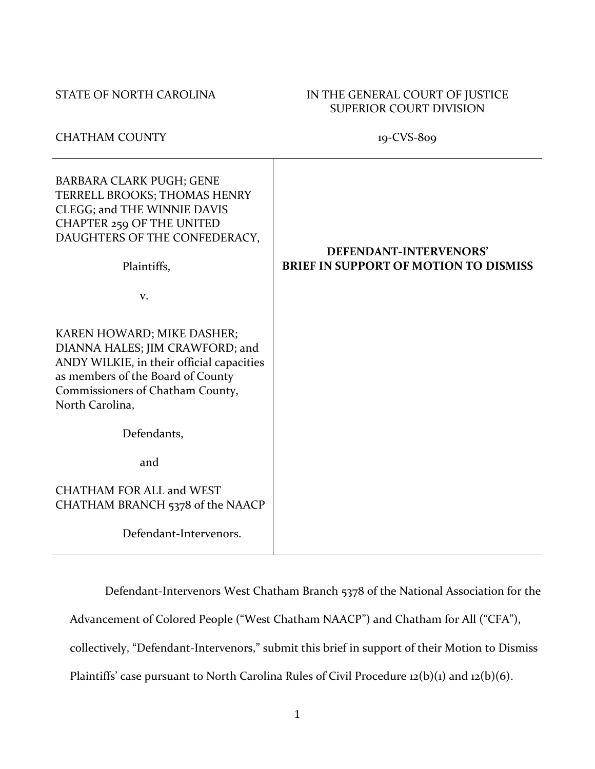# STATE OF NORTH CAROLINA IN THE GENERAL COURT OF JUSTICE SUPERIOR COURT DIVISION

# CHATHAM COUNTY 19-CVS-809

| <b>BARBARA CLARK PUGH; GENE</b><br>TERRELL BROOKS; THOMAS HENRY<br>CLEGG; and THE WINNIE DAVIS<br><b>CHAPTER 259 OF THE UNITED</b><br>DAUGHTERS OF THE CONFEDERACY,<br>Plaintiffs,                     | DEFENDANT-INTERVENORS'<br><b>BRIEF IN SUPPORT OF MOTION TO DISMISS</b> |
|--------------------------------------------------------------------------------------------------------------------------------------------------------------------------------------------------------|------------------------------------------------------------------------|
| V.                                                                                                                                                                                                     |                                                                        |
| KAREN HOWARD; MIKE DASHER;<br>DIANNA HALES; JIM CRAWFORD; and<br>ANDY WILKIE, in their official capacities<br>as members of the Board of County<br>Commissioners of Chatham County,<br>North Carolina, |                                                                        |
| Defendants,                                                                                                                                                                                            |                                                                        |
| and                                                                                                                                                                                                    |                                                                        |
| <b>CHATHAM FOR ALL and WEST</b><br>CHATHAM BRANCH 5378 of the NAACP                                                                                                                                    |                                                                        |
| Defendant-Intervenors.                                                                                                                                                                                 |                                                                        |

Defendant-Intervenors West Chatham Branch 5378 of the National Association for the

Advancement of Colored People ("West Chatham NAACP") and Chatham for All ("CFA"),

collectively, "Defendant-Intervenors," submit this brief in support of their Motion to Dismiss

Plaintiffs' case pursuant to North Carolina Rules of Civil Procedure 12(b)(1) and 12(b)(6).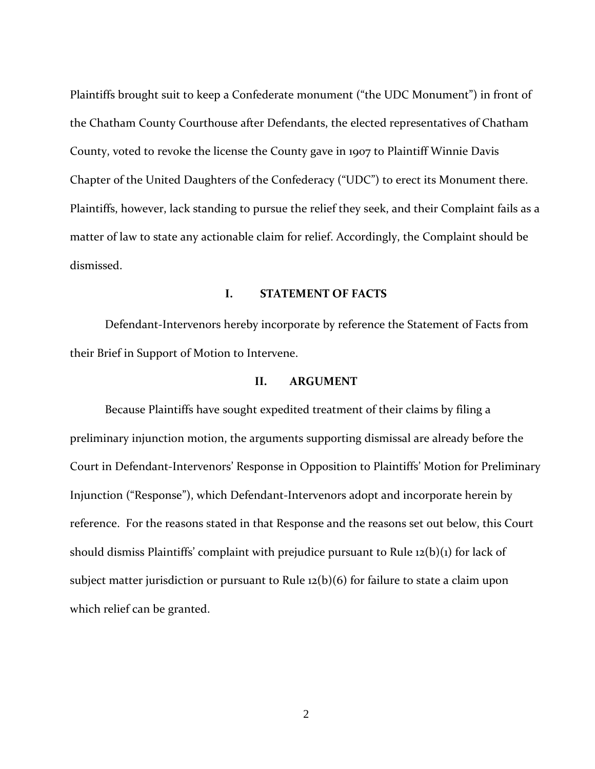Plaintiffs brought suit to keep a Confederate monument ("the UDC Monument") in front of the Chatham County Courthouse after Defendants, the elected representatives of Chatham County, voted to revoke the license the County gave in 1907 to Plaintiff Winnie Davis Chapter of the United Daughters of the Confederacy ("UDC") to erect its Monument there. Plaintiffs, however, lack standing to pursue the relief they seek, and their Complaint fails as a matter of law to state any actionable claim for relief. Accordingly, the Complaint should be dismissed.

### **I. STATEMENT OF FACTS**

Defendant-Intervenors hereby incorporate by reference the Statement of Facts from their Brief in Support of Motion to Intervene.

### **II. ARGUMENT**

Because Plaintiffs have sought expedited treatment of their claims by filing a preliminary injunction motion, the arguments supporting dismissal are already before the Court in Defendant-Intervenors' Response in Opposition to Plaintiffs' Motion for Preliminary Injunction ("Response"), which Defendant-Intervenors adopt and incorporate herein by reference. For the reasons stated in that Response and the reasons set out below, this Court should dismiss Plaintiffs' complaint with prejudice pursuant to Rule 12(b)(1) for lack of subject matter jurisdiction or pursuant to Rule 12(b)(6) for failure to state a claim upon which relief can be granted.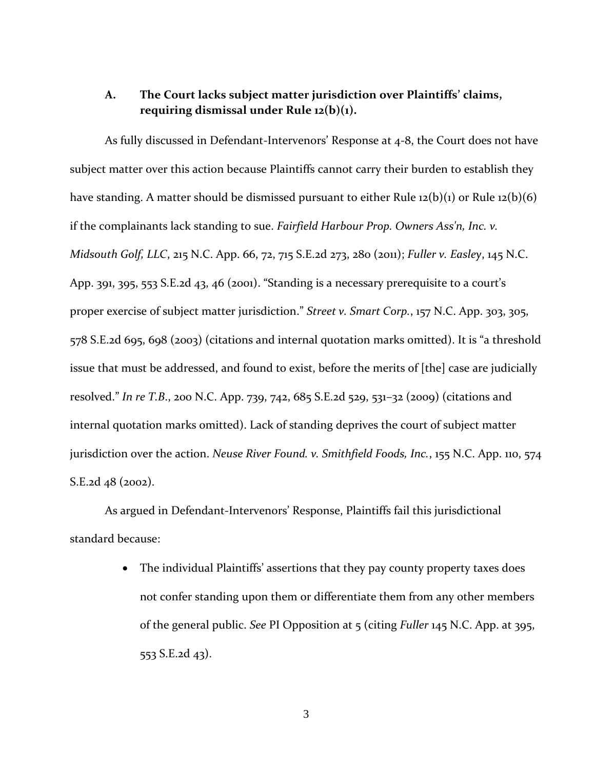# **A. The Court lacks subject matter jurisdiction over Plaintiffs' claims, requiring dismissal under Rule 12(b)(1).**

As fully discussed in Defendant-Intervenors' Response at 4-8, the Court does not have subject matter over this action because Plaintiffs cannot carry their burden to establish they have standing. A matter should be dismissed pursuant to either Rule 12(b)(1) or Rule 12(b)(6) if the complainants lack standing to sue. *Fairfield Harbour Prop. Owners Ass'n, Inc. v. Midsouth Golf, LLC*, 215 N.C. App. 66, 72, 715 S.E.2d 273, 280 (2011); *Fuller v. Easley*, 145 N.C. App. 391, 395, 553 S.E.2d 43, 46 (2001). "Standing is a necessary prerequisite to a court's proper exercise of subject matter jurisdiction." *Street v. Smart Corp.*, 157 N.C. App. 303, 305, 578 S.E.2d 695, 698 (2003) (citations and internal quotation marks omitted). It is "a threshold issue that must be addressed, and found to exist, before the merits of [the] case are judicially resolved." *In re T.B*., 200 N.C. App. 739, 742, 685 S.E.2d 529, 531–32 (2009) (citations and internal quotation marks omitted). Lack of standing deprives the court of subject matter jurisdiction over the action. *Neuse River Found. v. Smithfield Foods, Inc.*, 155 N.C. App. 110, 574 S.E.2d 48 (2002).

As argued in Defendant-Intervenors' Response, Plaintiffs fail this jurisdictional standard because:

> • The individual Plaintiffs' assertions that they pay county property taxes does not confer standing upon them or differentiate them from any other members of the general public. *See* PI Opposition at 5 (citing *Fuller* 145 N.C. App. at 395, 553 S.E.2d 43).

> > 3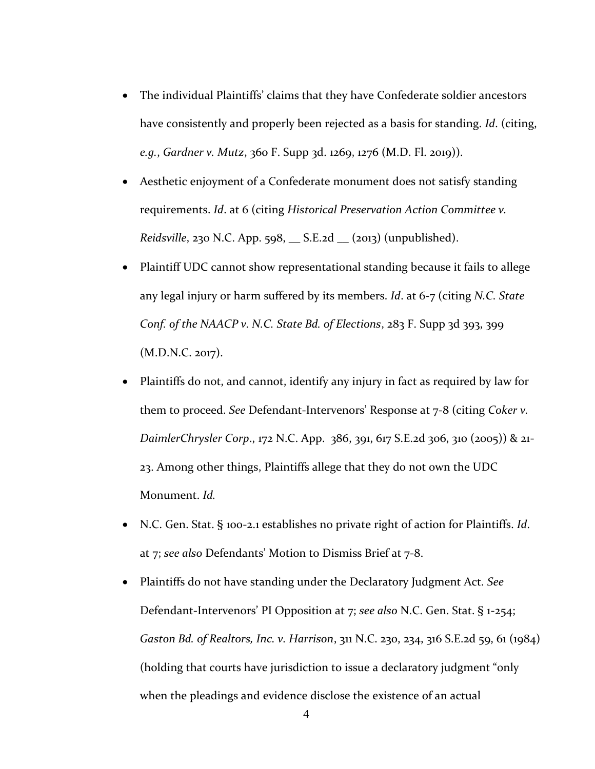- The individual Plaintiffs' claims that they have Confederate soldier ancestors have consistently and properly been rejected as a basis for standing. *Id*. (citing, *e.g.*, *Gardner v. Mutz*, 360 F. Supp 3d. 1269, 1276 (M.D. Fl. 2019)).
- Aesthetic enjoyment of a Confederate monument does not satisfy standing requirements. *Id*. at 6 (citing *Historical Preservation Action Committee v. Reidsville*, 230 N.C. App. 598, \_\_ S.E.2d \_\_ (2013) (unpublished).
- Plaintiff UDC cannot show representational standing because it fails to allege any legal injury or harm suffered by its members. *Id*. at 6-7 (citing *N.C. State Conf. of the NAACP v. N.C. State Bd. of Elections*, 283 F. Supp 3d 393, 399 (M.D.N.C. 2017).
- Plaintiffs do not, and cannot, identify any injury in fact as required by law for them to proceed. *See* Defendant-Intervenors' Response at 7-8 (citing *Coker v. DaimlerChrysler Corp*., 172 N.C. App. 386, 391, 617 S.E.2d 306, 310 (2005)) & 21- 23. Among other things, Plaintiffs allege that they do not own the UDC Monument. *Id.*
- N.C. Gen. Stat. § 100-2.1 establishes no private right of action for Plaintiffs. *Id*. at 7; *see also* Defendants' Motion to Dismiss Brief at 7-8.
- Plaintiffs do not have standing under the Declaratory Judgment Act. *See* Defendant-Intervenors' PI Opposition at 7; *see also* N.C. Gen. Stat. § 1-254; *Gaston Bd. of Realtors, Inc. v. Harrison*, 311 N.C. 230, 234, 316 S.E.2d 59, 61 (1984) (holding that courts have jurisdiction to issue a declaratory judgment "only when the pleadings and evidence disclose the existence of an actual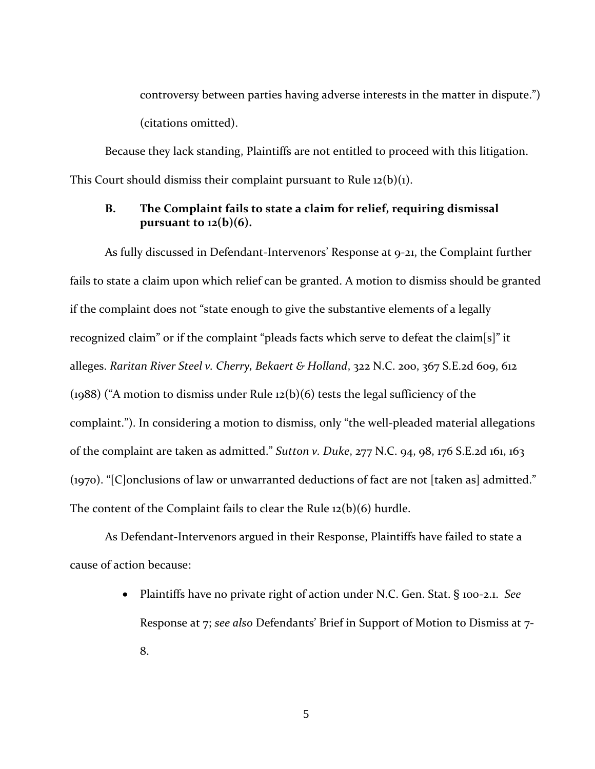controversy between parties having adverse interests in the matter in dispute.") (citations omitted).

Because they lack standing, Plaintiffs are not entitled to proceed with this litigation. This Court should dismiss their complaint pursuant to Rule  $12(b)(1)$ .

# **B. The Complaint fails to state a claim for relief, requiring dismissal pursuant to 12(b)(6).**

As fully discussed in Defendant-Intervenors' Response at 9-21, the Complaint further fails to state a claim upon which relief can be granted. A motion to dismiss should be granted if the complaint does not "state enough to give the substantive elements of a legally recognized claim" or if the complaint "pleads facts which serve to defeat the claim[s]" it alleges. *Raritan River Steel v. Cherry, Bekaert & Holland*, 322 N.C. 200, 367 S.E.2d 609, 612 (1988) ("A motion to dismiss under Rule 12(b)(6) tests the legal sufficiency of the complaint."). In considering a motion to dismiss, only "the well-pleaded material allegations of the complaint are taken as admitted." *Sutton v. Duke*, 277 N.C. 94, 98, 176 S.E.2d 161, 163 (1970). "[C]onclusions of law or unwarranted deductions of fact are not [taken as] admitted." The content of the Complaint fails to clear the Rule 12(b)(6) hurdle.

As Defendant-Intervenors argued in their Response, Plaintiffs have failed to state a cause of action because:

> • Plaintiffs have no private right of action under N.C. Gen. Stat. § 100-2.1. *See* Response at 7; *see also* Defendants' Brief in Support of Motion to Dismiss at 7- 8.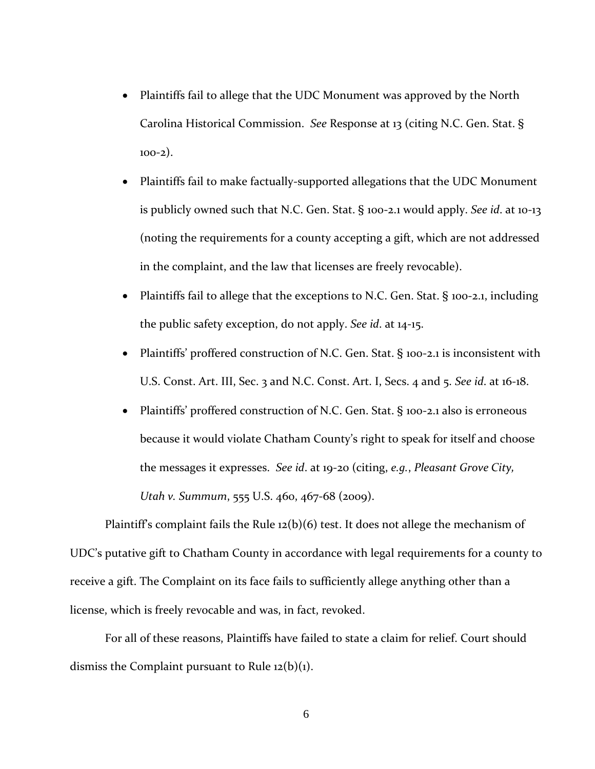- Plaintiffs fail to allege that the UDC Monument was approved by the North Carolina Historical Commission. *See* Response at 13 (citing N.C. Gen. Stat. §  $100-2)$ .
- Plaintiffs fail to make factually-supported allegations that the UDC Monument is publicly owned such that N.C. Gen. Stat. § 100-2.1 would apply. *See id*. at 10-13 (noting the requirements for a county accepting a gift, which are not addressed in the complaint, and the law that licenses are freely revocable).
- Plaintiffs fail to allege that the exceptions to N.C. Gen. Stat. § 100-2.1, including the public safety exception, do not apply. *See id*. at 14-15.
- Plaintiffs' proffered construction of N.C. Gen. Stat. § 100-2.1 is inconsistent with U.S. Const. Art. III, Sec. 3 and N.C. Const. Art. I, Secs. 4 and 5. *See id*. at 16-18.
- Plaintiffs' proffered construction of N.C. Gen. Stat. § 100-2.1 also is erroneous because it would violate Chatham County's right to speak for itself and choose the messages it expresses. *See id*. at 19-20 (citing, *e.g.*, *Pleasant Grove City, Utah v. Summum*, 555 U.S. 460, 467-68 (2009).

Plaintiff's complaint fails the Rule  $12(b)(6)$  test. It does not allege the mechanism of UDC's putative gift to Chatham County in accordance with legal requirements for a county to receive a gift. The Complaint on its face fails to sufficiently allege anything other than a license, which is freely revocable and was, in fact, revoked.

For all of these reasons, Plaintiffs have failed to state a claim for relief. Court should dismiss the Complaint pursuant to Rule  $12(b)(1)$ .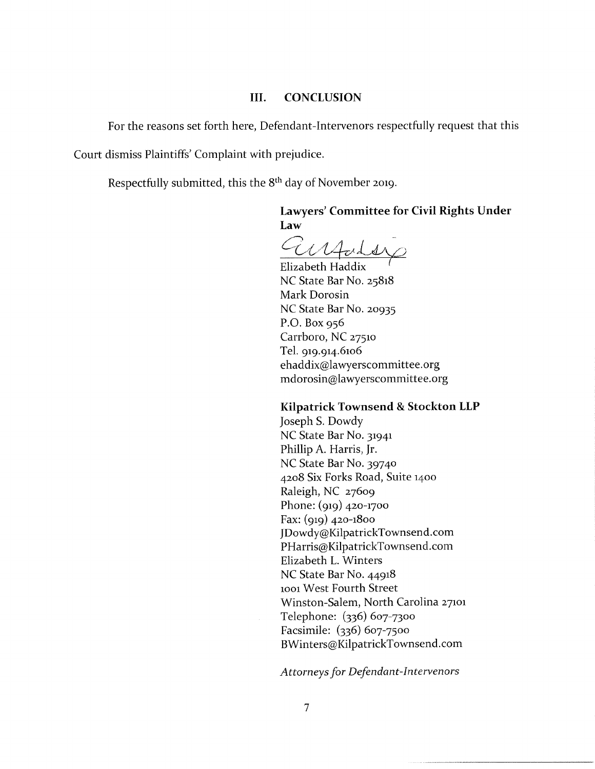#### **CONCLUSION** III.

For the reasons set forth here, Defendant-Intervenors respectfully request that this

Court dismiss Plaintiffs' Complaint with prejudice.

Respectfully submitted, this the 8<sup>th</sup> day of November 2019.

# Lawyers' Committee for Civil Rights Under Law

Cirpoder

Elizabeth Haddix NC State Bar No. 25818 Mark Dorosin NC State Bar No. 20935 P.O. Box  $956$ Carrboro, NC 27510 Tel. 919.914.6106 ehaddix@lawyerscommittee.org mdorosin@lawyerscommittee.org

### Kilpatrick Townsend & Stockton LLP

Joseph S. Dowdy NC State Bar No. 31941 Phillip A. Harris, Jr. NC State Bar No. 39740 4208 Six Forks Road, Suite 1400 Raleigh, NC 27609 Phone: (919) 420-1700 Fax: (919) 420-1800 JDowdy@KilpatrickTownsend.com PHarris@KilpatrickTownsend.com Elizabeth L. Winters NC State Bar No. 44918 1001 West Fourth Street Winston-Salem, North Carolina 27101 Telephone: (336) 607-7300 Facsimile: (336) 607-7500 BWinters@KilpatrickTownsend.com

Attorneys for Defendant-Intervenors